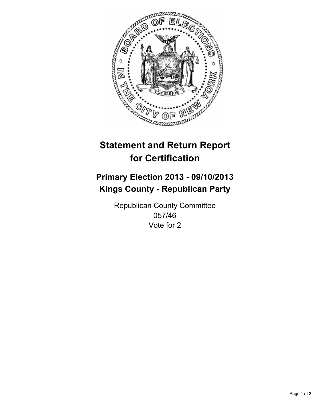

# **Statement and Return Report for Certification**

# **Primary Election 2013 - 09/10/2013 Kings County - Republican Party**

Republican County Committee 057/46 Vote for 2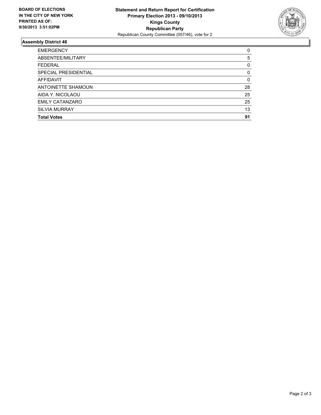

## **Assembly District 46**

| <b>EMERGENCY</b>       | 0  |
|------------------------|----|
| ABSENTEE/MILITARY      | 5  |
| <b>FEDERAL</b>         | 0  |
| SPECIAL PRESIDENTIAL   | 0  |
| AFFIDAVIT              | 0  |
| ANTOINETTE SHAMOUN     | 28 |
| AIDA Y. NICOLAOU       | 25 |
| <b>EMILY CATANZARO</b> | 25 |
| <b>SILVIA MURRAY</b>   | 13 |
| <b>Total Votes</b>     | 91 |